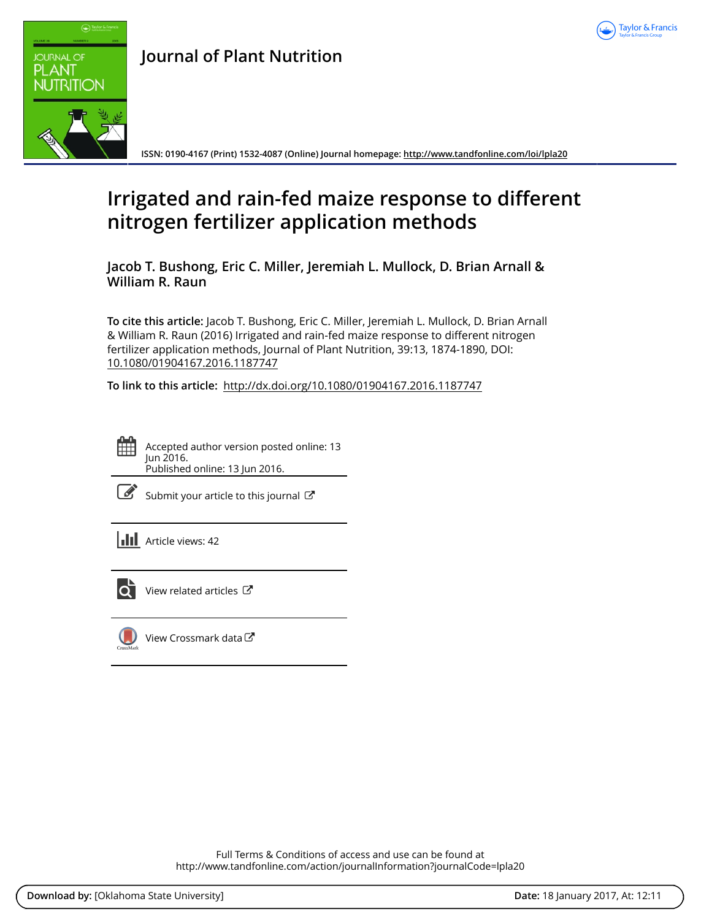



# **Journal of Plant Nutrition**

**ISSN: 0190-4167 (Print) 1532-4087 (Online) Journal homepage:<http://www.tandfonline.com/loi/lpla20>**

# **Irrigated and rain-fed maize response to different nitrogen fertilizer application methods**

**Jacob T. Bushong, Eric C. Miller, Jeremiah L. Mullock, D. Brian Arnall & William R. Raun**

**To cite this article:** Jacob T. Bushong, Eric C. Miller, Jeremiah L. Mullock, D. Brian Arnall & William R. Raun (2016) Irrigated and rain-fed maize response to different nitrogen fertilizer application methods, Journal of Plant Nutrition, 39:13, 1874-1890, DOI: [10.1080/01904167.2016.1187747](http://www.tandfonline.com/action/showCitFormats?doi=10.1080/01904167.2016.1187747)

**To link to this article:** <http://dx.doi.org/10.1080/01904167.2016.1187747>



Accepted author version posted online: 13 Jun 2016. Published online: 13 Jun 2016.

| I<br>۰. |
|---------|
|         |

[Submit your article to this journal](http://www.tandfonline.com/action/authorSubmission?journalCode=lpla20&show=instructions)  $\mathbb{Z}^n$ 

**III** Article views: 42



[View related articles](http://www.tandfonline.com/doi/mlt/10.1080/01904167.2016.1187747) C



 $\bigcirc$  [View Crossmark data](http://crossmark.crossref.org/dialog/?doi=10.1080/01904167.2016.1187747&domain=pdf&date_stamp=2016-06-13) $\mathbb{Z}$ 

Full Terms & Conditions of access and use can be found at <http://www.tandfonline.com/action/journalInformation?journalCode=lpla20>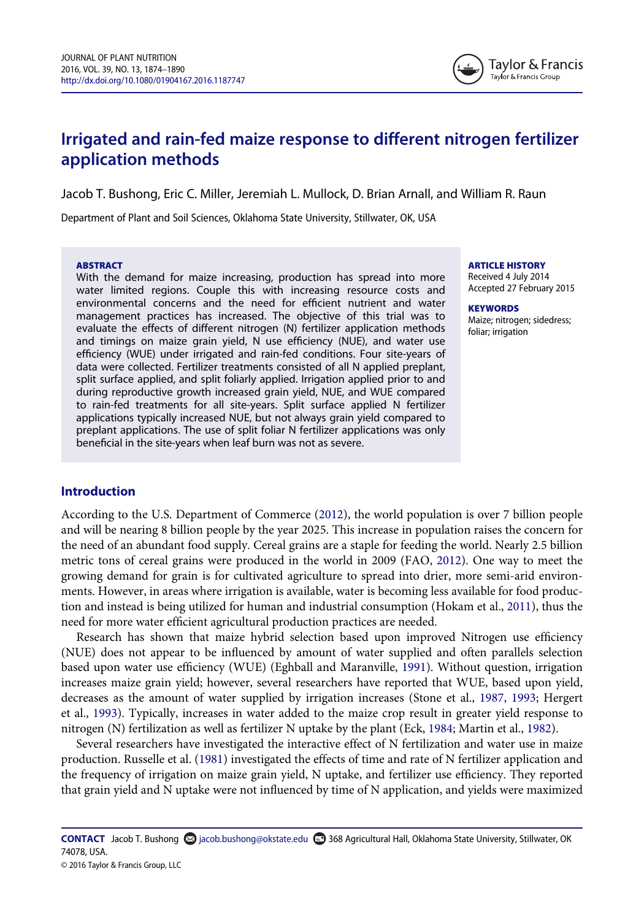

# Irrigated and rain-fed maize response to different nitrogen fertilizer application methods

Jacob T. Bushong, Eric C. Miller, Jeremiah L. Mullock, D. Brian Arnall, and William R. Raun

Department of Plant and Soil Sciences, Oklahoma State University, Stillwater, OK, USA

#### **ARSTRACT**

With the demand for maize increasing, production has spread into more water limited regions. Couple this with increasing resource costs and environmental concerns and the need for efficient nutrient and water management practices has increased. The objective of this trial was to evaluate the effects of different nitrogen (N) fertilizer application methods and timings on maize grain yield, N use efficiency (NUE), and water use efficiency (WUE) under irrigated and rain-fed conditions. Four site-years of data were collected. Fertilizer treatments consisted of all N applied preplant, split surface applied, and split foliarly applied. Irrigation applied prior to and during reproductive growth increased grain yield, NUE, and WUE compared to rain-fed treatments for all site-years. Split surface applied N fertilizer applications typically increased NUE, but not always grain yield compared to preplant applications. The use of split foliar N fertilizer applications was only beneficial in the site-years when leaf burn was not as severe.

ARTICLE HISTORY

Received 4 July 2014 Accepted 27 February 2015

**KEYWORDS** Maize; nitrogen; sidedress; foliar; irrigation

# Introduction

According to the U.S. Department of Commerce ([2012\)](#page-17-0), the world population is over 7 billion people and will be nearing 8 billion people by the year 2025. This increase in population raises the concern for the need of an abundant food supply. Cereal grains are a staple for feeding the world. Nearly 2.5 billion metric tons of cereal grains were produced in the world in 2009 (FAO, [2012](#page-16-0)). One way to meet the growing demand for grain is for cultivated agriculture to spread into drier, more semi-arid environments. However, in areas where irrigation is available, water is becoming less available for food production and instead is being utilized for human and industrial consumption (Hokam et al., [2011\)](#page-16-1), thus the need for more water efficient agricultural production practices are needed.

Research has shown that maize hybrid selection based upon improved Nitrogen use efficiency (NUE) does not appear to be influenced by amount of water supplied and often parallels selection based upon water use efficiency (WUE) (Eghball and Maranville, [1991\)](#page-16-2). Without question, irrigation increases maize grain yield; however, several researchers have reported that WUE, based upon yield, decreases as the amount of water supplied by irrigation increases (Stone et al., [1987](#page-17-1), [1993](#page-17-2); Hergert et al., [1993\)](#page-16-3). Typically, increases in water added to the maize crop result in greater yield response to nitrogen (N) fertilization as well as fertilizer N uptake by the plant (Eck, [1984](#page-16-4); Martin et al., [1982](#page-16-5)).

Several researchers have investigated the interactive effect of N fertilization and water use in maize production. Russelle et al. ([1981\)](#page-17-3) investigated the effects of time and rate of N fertilizer application and the frequency of irrigation on maize grain yield, N uptake, and fertilizer use efficiency. They reported that grain yield and N uptake were not influenced by time of N application, and yields were maximized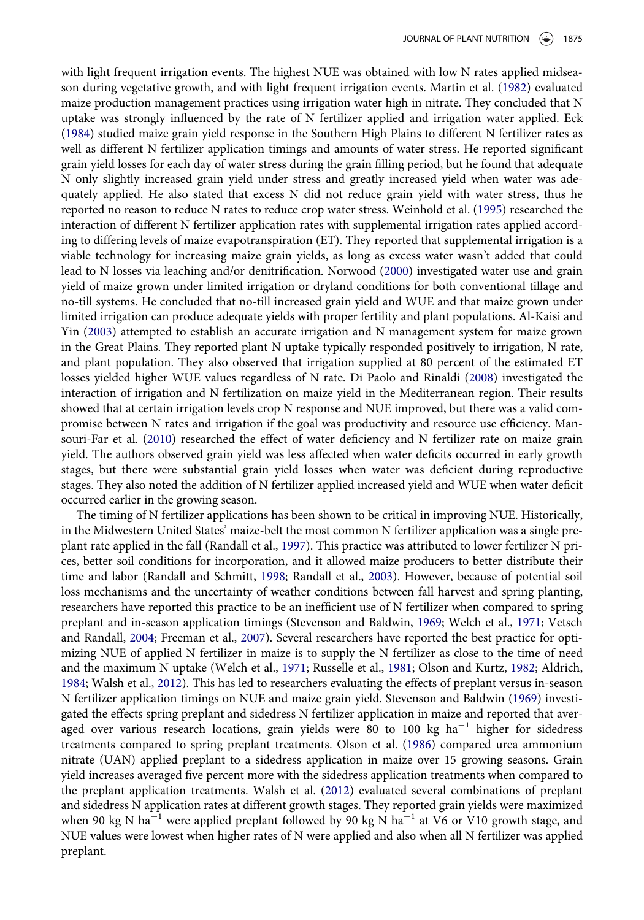with light frequent irrigation events. The highest NUE was obtained with low N rates applied midseason during vegetative growth, and with light frequent irrigation events. Martin et al. [\(1982](#page-16-5)) evaluated maize production management practices using irrigation water high in nitrate. They concluded that N uptake was strongly influenced by the rate of N fertilizer applied and irrigation water applied. Eck [\(1984](#page-16-4)) studied maize grain yield response in the Southern High Plains to different N fertilizer rates as well as different N fertilizer application timings and amounts of water stress. He reported significant grain yield losses for each day of water stress during the grain filling period, but he found that adequate N only slightly increased grain yield under stress and greatly increased yield when water was adequately applied. He also stated that excess N did not reduce grain yield with water stress, thus he reported no reason to reduce N rates to reduce crop water stress. Weinhold et al. ([1995\)](#page-17-4) researched the interaction of different N fertilizer application rates with supplemental irrigation rates applied according to differing levels of maize evapotranspiration (ET). They reported that supplemental irrigation is a viable technology for increasing maize grain yields, as long as excess water wasn't added that could lead to N losses via leaching and/or denitrification. Norwood ([2000\)](#page-16-6) investigated water use and grain yield of maize grown under limited irrigation or dryland conditions for both conventional tillage and no-till systems. He concluded that no-till increased grain yield and WUE and that maize grown under limited irrigation can produce adequate yields with proper fertility and plant populations. Al-Kaisi and Yin ([2003\)](#page-16-7) attempted to establish an accurate irrigation and N management system for maize grown in the Great Plains. They reported plant N uptake typically responded positively to irrigation, N rate, and plant population. They also observed that irrigation supplied at 80 percent of the estimated ET losses yielded higher WUE values regardless of N rate. Di Paolo and Rinaldi ([2008](#page-16-8)) investigated the interaction of irrigation and N fertilization on maize yield in the Mediterranean region. Their results showed that at certain irrigation levels crop N response and NUE improved, but there was a valid compromise between N rates and irrigation if the goal was productivity and resource use efficiency. Mansouri-Far et al. [\(2010](#page-16-9)) researched the effect of water deficiency and N fertilizer rate on maize grain yield. The authors observed grain yield was less affected when water deficits occurred in early growth stages, but there were substantial grain yield losses when water was deficient during reproductive stages. They also noted the addition of N fertilizer applied increased yield and WUE when water deficit occurred earlier in the growing season.

The timing of N fertilizer applications has been shown to be critical in improving NUE. Historically, in the Midwestern United States' maize-belt the most common N fertilizer application was a single preplant rate applied in the fall (Randall et al., [1997](#page-17-5)). This practice was attributed to lower fertilizer N prices, better soil conditions for incorporation, and it allowed maize producers to better distribute their time and labor (Randall and Schmitt, [1998](#page-17-6); Randall et al., [2003](#page-17-7)). However, because of potential soil loss mechanisms and the uncertainty of weather conditions between fall harvest and spring planting, researchers have reported this practice to be an inefficient use of N fertilizer when compared to spring preplant and in-season application timings (Stevenson and Baldwin, [1969;](#page-17-8) Welch et al., [1971;](#page-17-9) Vetsch and Randall, [2004;](#page-17-10) Freeman et al., [2007\)](#page-16-10). Several researchers have reported the best practice for optimizing NUE of applied N fertilizer in maize is to supply the N fertilizer as close to the time of need and the maximum N uptake (Welch et al., [1971;](#page-17-9) Russelle et al., [1981](#page-17-3); Olson and Kurtz, [1982;](#page-17-11) Aldrich, [1984;](#page-16-11) Walsh et al., [2012](#page-17-12)). This has led to researchers evaluating the effects of preplant versus in-season N fertilizer application timings on NUE and maize grain yield. Stevenson and Baldwin [\(1969](#page-17-8)) investigated the effects spring preplant and sidedress N fertilizer application in maize and reported that averaged over various research locations, grain yields were 80 to 100 kg  $ha^{-1}$  higher for sidedress treatments compared to spring preplant treatments. Olson et al. [\(1986](#page-17-13)) compared urea ammonium nitrate (UAN) applied preplant to a sidedress application in maize over 15 growing seasons. Grain yield increases averaged five percent more with the sidedress application treatments when compared to the preplant application treatments. Walsh et al. [\(2012\)](#page-17-12) evaluated several combinations of preplant and sidedress N application rates at different growth stages. They reported grain yields were maximized when 90 kg N ha<sup>-1</sup> were applied preplant followed by 90 kg N ha<sup>-1</sup> at V6 or V10 growth stage, and NUE values were lowest when higher rates of N were applied and also when all N fertilizer was applied preplant.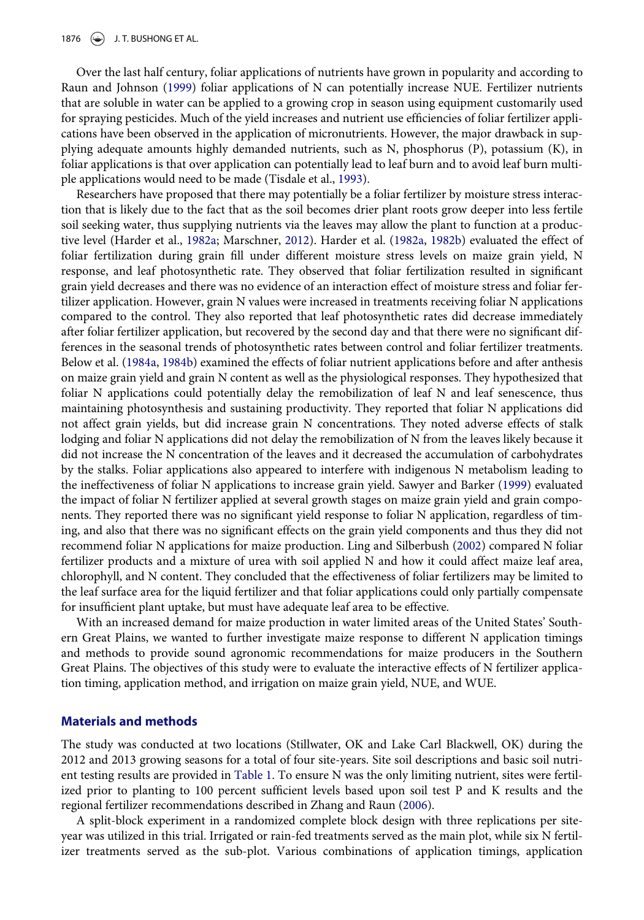1876  $\leftarrow$  J. T. BUSHONG ET AL.

Over the last half century, foliar applications of nutrients have grown in popularity and according to Raun and Johnson ([1999](#page-17-14)) foliar applications of N can potentially increase NUE. Fertilizer nutrients that are soluble in water can be applied to a growing crop in season using equipment customarily used for spraying pesticides. Much of the yield increases and nutrient use efficiencies of foliar fertilizer applications have been observed in the application of micronutrients. However, the major drawback in supplying adequate amounts highly demanded nutrients, such as N, phosphorus (P), potassium (K), in foliar applications is that over application can potentially lead to leaf burn and to avoid leaf burn multiple applications would need to be made (Tisdale et al., [1993\)](#page-17-15).

Researchers have proposed that there may potentially be a foliar fertilizer by moisture stress interaction that is likely due to the fact that as the soil becomes drier plant roots grow deeper into less fertile soil seeking water, thus supplying nutrients via the leaves may allow the plant to function at a productive level (Harder et al., [1982a](#page-16-12); Marschner, [2012](#page-16-13)). Harder et al. [\(1982a,](#page-16-12) [1982b](#page-16-14)) evaluated the effect of foliar fertilization during grain fill under different moisture stress levels on maize grain yield, N response, and leaf photosynthetic rate. They observed that foliar fertilization resulted in significant grain yield decreases and there was no evidence of an interaction effect of moisture stress and foliar fertilizer application. However, grain N values were increased in treatments receiving foliar N applications compared to the control. They also reported that leaf photosynthetic rates did decrease immediately after foliar fertilizer application, but recovered by the second day and that there were no significant differences in the seasonal trends of photosynthetic rates between control and foliar fertilizer treatments. Below et al. ([1984a](#page-16-15), [1984b](#page-16-16)) examined the effects of foliar nutrient applications before and after anthesis on maize grain yield and grain N content as well as the physiological responses. They hypothesized that foliar N applications could potentially delay the remobilization of leaf N and leaf senescence, thus maintaining photosynthesis and sustaining productivity. They reported that foliar N applications did not affect grain yields, but did increase grain N concentrations. They noted adverse effects of stalk lodging and foliar N applications did not delay the remobilization of N from the leaves likely because it did not increase the N concentration of the leaves and it decreased the accumulation of carbohydrates by the stalks. Foliar applications also appeared to interfere with indigenous N metabolism leading to the ineffectiveness of foliar N applications to increase grain yield. Sawyer and Barker [\(1999](#page-17-16)) evaluated the impact of foliar N fertilizer applied at several growth stages on maize grain yield and grain components. They reported there was no significant yield response to foliar N application, regardless of timing, and also that there was no significant effects on the grain yield components and thus they did not recommend foliar N applications for maize production. Ling and Silberbush ([2002\)](#page-16-17) compared N foliar fertilizer products and a mixture of urea with soil applied N and how it could affect maize leaf area, chlorophyll, and N content. They concluded that the effectiveness of foliar fertilizers may be limited to the leaf surface area for the liquid fertilizer and that foliar applications could only partially compensate for insufficient plant uptake, but must have adequate leaf area to be effective.

With an increased demand for maize production in water limited areas of the United States' Southern Great Plains, we wanted to further investigate maize response to different N application timings and methods to provide sound agronomic recommendations for maize producers in the Southern Great Plains. The objectives of this study were to evaluate the interactive effects of N fertilizer application timing, application method, and irrigation on maize grain yield, NUE, and WUE.

#### Materials and methods

The study was conducted at two locations (Stillwater, OK and Lake Carl Blackwell, OK) during the 2012 and 2013 growing seasons for a total of four site-years. Site soil descriptions and basic soil nutrient testing results are provided in [Table 1.](#page-4-0) To ensure N was the only limiting nutrient, sites were fertilized prior to planting to 100 percent sufficient levels based upon soil test P and K results and the regional fertilizer recommendations described in Zhang and Raun [\(2006](#page-17-17)).

A split-block experiment in a randomized complete block design with three replications per siteyear was utilized in this trial. Irrigated or rain-fed treatments served as the main plot, while six N fertilizer treatments served as the sub-plot. Various combinations of application timings, application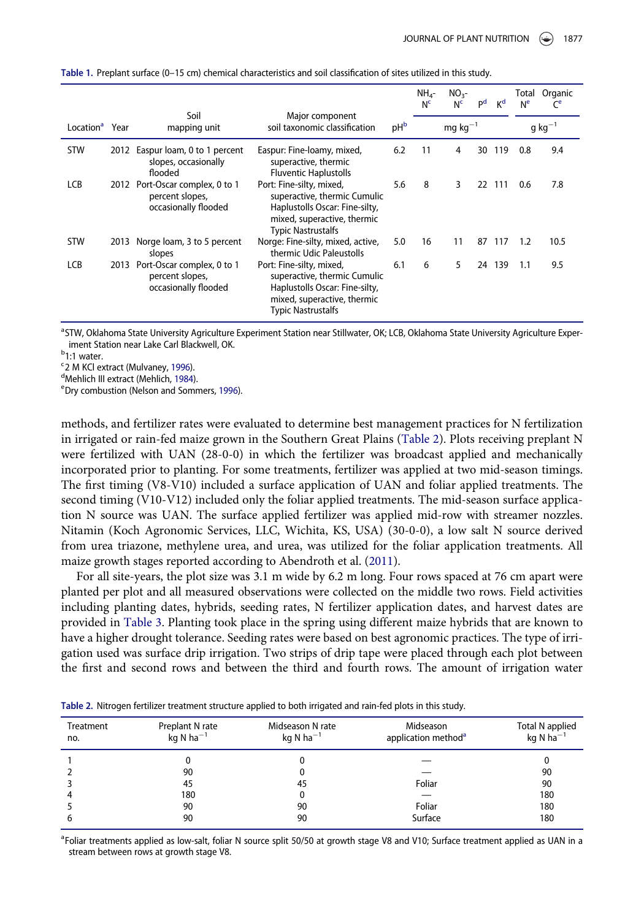|                            |      |                                                                            |                                                                                                                                                        |                 | $NH4$ -<br>N <sub>c</sub> | $NO3$ -<br>N <sub>c</sub> | P <sup>d</sup> | K <sup>d</sup> | Total<br>N <sup>e</sup> | Organic<br>$\mathsf{C}^{\mathsf{e}}$ |
|----------------------------|------|----------------------------------------------------------------------------|--------------------------------------------------------------------------------------------------------------------------------------------------------|-----------------|---------------------------|---------------------------|----------------|----------------|-------------------------|--------------------------------------|
| Location <sup>a</sup> Year |      | Soil<br>mapping unit                                                       | Major component<br>soil taxonomic classification                                                                                                       | pH <sub>b</sub> |                           | $mg\,$ kg <sup>-1</sup>   |                |                |                         | $q$ kg <sup><math>-1</math></sup>    |
| <b>STW</b>                 | 2012 | Easpur loam, 0 to 1 percent<br>slopes, occasionally<br>flooded             | Easpur: Fine-loamy, mixed,<br>superactive, thermic<br><b>Fluventic Haplustolls</b>                                                                     | 6.2             | 11                        | 4                         | 30             | 119            | 0.8                     | 9.4                                  |
| LCB                        |      | 2012 Port-Oscar complex, 0 to 1<br>percent slopes,<br>occasionally flooded | Port: Fine-silty, mixed,<br>superactive, thermic Cumulic<br>Haplustolls Oscar: Fine-silty,<br>mixed, superactive, thermic<br><b>Typic Nastrustalfs</b> | 5.6             | 8                         | 3                         |                | 22 111         | 0.6                     | 7.8                                  |
| <b>STW</b>                 | 2013 | Norge loam, 3 to 5 percent<br>slopes                                       | Norge: Fine-silty, mixed, active,<br>thermic Udic Paleustolls                                                                                          | 5.0             | 16                        | 11                        | 87             | 117            | 1.2                     | 10.5                                 |
| LCB                        | 2013 | Port-Oscar complex, 0 to 1<br>percent slopes,<br>occasionally flooded      | Port: Fine-silty, mixed,<br>superactive, thermic Cumulic<br>Haplustolls Oscar: Fine-silty,<br>mixed, superactive, thermic<br><b>Typic Nastrustalfs</b> | 6.1             | 6                         | 5                         | 24             | 139            | 1.1                     | 9.5                                  |

<span id="page-4-0"></span>Table 1. Preplant surface (0–15 cm) chemical characteristics and soil classification of sites utilized in this study.

<span id="page-4-5"></span><sup>a</sup>STW, Oklahoma State University Agriculture Experiment Station near Stillwater, OK; LCB, Oklahoma State University Agriculture Experiment Station near Lake Carl Blackwell, OK.

<span id="page-4-6"></span><span id="page-4-2"></span><sup>b</sup>1:1 water.

<sup>c</sup> 2 M KCl extract (Mulvaney, [1996\)](#page-16-19).<br><sup>d</sup>Meblich III extract (Meblich, 1984)

<span id="page-4-3"></span><sup>d</sup>Mehlich III extract (Mehlich, [1984](#page-16-20)).

<span id="page-4-4"></span>Dry combustion (Nelson and Sommers, [1996](#page-16-21)).

methods, and fertilizer rates were evaluated to determine best management practices for N fertilization in irrigated or rain-fed maize grown in the Southern Great Plains [\(Table 2\)](#page-4-1). Plots receiving preplant N were fertilized with UAN (28-0-0) in which the fertilizer was broadcast applied and mechanically incorporated prior to planting. For some treatments, fertilizer was applied at two mid-season timings. The first timing (V8-V10) included a surface application of UAN and foliar applied treatments. The second timing (V10-V12) included only the foliar applied treatments. The mid-season surface application N source was UAN. The surface applied fertilizer was applied mid-row with streamer nozzles. Nitamin (Koch Agronomic Services, LLC, Wichita, KS, USA) (30-0-0), a low salt N source derived from urea triazone, methylene urea, and urea, was utilized for the foliar application treatments. All maize growth stages reported according to Abendroth et al. ([2011\)](#page-16-18).

For all site-years, the plot size was 3.1 m wide by 6.2 m long. Four rows spaced at 76 cm apart were planted per plot and all measured observations were collected on the middle two rows. Field activities including planting dates, hybrids, seeding rates, N fertilizer application dates, and harvest dates are provided in [Table 3](#page-5-0). Planting took place in the spring using different maize hybrids that are known to have a higher drought tolerance. Seeding rates were based on best agronomic practices. The type of irrigation used was surface drip irrigation. Two strips of drip tape were placed through each plot between the first and second rows and between the third and fourth rows. The amount of irrigation water

| <b>Treatment</b><br>no. | Preplant N rate<br>kg N $ha^{-1}$ | Midseason N rate<br>kg N ha <sup>-1</sup> | Midseason<br>application method <sup>a</sup> | Total N applied<br>kg N ha $^{-1}$ |
|-------------------------|-----------------------------------|-------------------------------------------|----------------------------------------------|------------------------------------|
|                         | 0                                 |                                           |                                              |                                    |
|                         | 90                                |                                           |                                              | 90                                 |
|                         | 45                                | 45                                        | Foliar                                       | 90                                 |
|                         | 180                               |                                           |                                              | 180                                |
|                         | 90                                | 90                                        | Foliar                                       | 180                                |
| b                       | 90                                | 90                                        | Surface                                      | 180                                |

<span id="page-4-1"></span>Table 2. Nitrogen fertilizer treatment structure applied to both irrigated and rain-fed plots in this study.

<span id="page-4-7"></span><sup>a</sup> Foliar treatments applied as low-salt, foliar N source split 50/50 at growth stage V8 and V10; Surface treatment applied as UAN in a stream between rows at growth stage V8.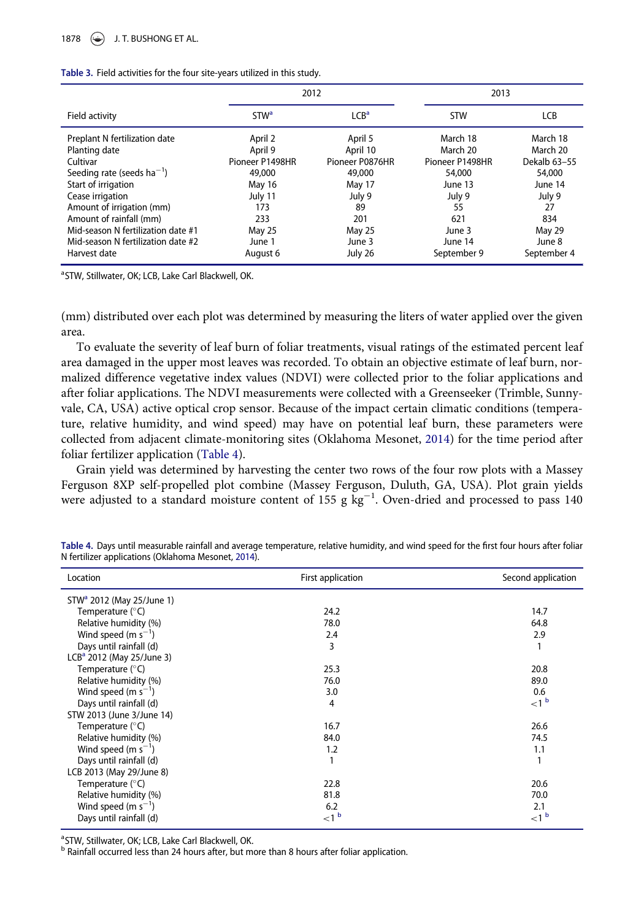<span id="page-5-0"></span>

|  |  | Table 3. Field activities for the four site-years utilized in this study. |  |  |
|--|--|---------------------------------------------------------------------------|--|--|
|  |  |                                                                           |  |  |

|                                                |                        | 2012                | 2013                 |                      |
|------------------------------------------------|------------------------|---------------------|----------------------|----------------------|
| Field activity                                 | <b>STW<sup>a</sup></b> | LCB <sup>a</sup>    | <b>STW</b>           | LCB                  |
| Preplant N fertilization date<br>Planting date | April 2<br>April 9     | April 5<br>April 10 | March 18<br>March 20 | March 18<br>March 20 |
| Cultivar                                       | Pioneer P1498HR        | Pioneer P0876HR     | Pioneer P1498HR      | Dekalb 63-55         |
| Seeding rate (seeds $ha^{-1}$ )                | 49,000                 | 49,000              | 54,000               | 54,000               |
| Start of irrigation                            | May 16                 | May 17              | June 13              | June 14              |
| Cease irrigation                               | July 11                | July 9              | July 9               | July 9               |
| Amount of irrigation (mm)                      | 173                    | 89                  | 55                   | 27                   |
| Amount of rainfall (mm)                        | 233                    | 201                 | 621                  | 834                  |
| Mid-season N fertilization date #1             | May 25                 | May 25              | June 3               | May 29               |
| Mid-season N fertilization date #2             | June 1                 | June 3              | June 14              | June 8               |
| Harvest date                                   | August 6               | July 26             | September 9          | September 4          |

<span id="page-5-2"></span><sup>a</sup>STW, Stillwater, OK; LCB, Lake Carl Blackwell, OK.

(mm) distributed over each plot was determined by measuring the liters of water applied over the given area.

To evaluate the severity of leaf burn of foliar treatments, visual ratings of the estimated percent leaf area damaged in the upper most leaves was recorded. To obtain an objective estimate of leaf burn, normalized difference vegetative index values (NDVI) were collected prior to the foliar applications and after foliar applications. The NDVI measurements were collected with a Greenseeker (Trimble, Sunnyvale, CA, USA) active optical crop sensor. Because of the impact certain climatic conditions (temperature, relative humidity, and wind speed) may have on potential leaf burn, these parameters were collected from adjacent climate-monitoring sites (Oklahoma Mesonet, [2014](#page-17-18)) for the time period after foliar fertilizer application [\(Table 4\)](#page-5-1).

Grain yield was determined by harvesting the center two rows of the four row plots with a Massey Ferguson 8XP self-propelled plot combine (Massey Ferguson, Duluth, GA, USA). Plot grain yields were adjusted to a standard moisture content of 155 g  $kg^{-1}$ . Oven-dried and processed to pass 140

| Location                    | First application | Second application |
|-----------------------------|-------------------|--------------------|
| $STWa$ 2012 (May 25/June 1) |                   |                    |
| Temperature (°C)            | 24.2              | 14.7               |
| Relative humidity (%)       | 78.0              | 64.8               |
| Wind speed (m $s^{-1}$ )    | 2.4               | 2.9                |
| Days until rainfall (d)     | 3                 | 1                  |
| $LCBa$ 2012 (May 25/June 3) |                   |                    |
| Temperature (°C)            | 25.3              | 20.8               |
| Relative humidity (%)       | 76.0              | 89.0               |
| Wind speed (m $s^{-1}$ )    | 3.0               | 0.6                |
| Days until rainfall (d)     | 4                 | $<1^{\circ}$       |
| STW 2013 (June 3/June 14)   |                   |                    |
| Temperature (°C)            | 16.7              | 26.6               |
| Relative humidity (%)       | 84.0              | 74.5               |
| Wind speed (m $s^{-1}$ )    | 1.2               | 1.1                |
| Days until rainfall (d)     |                   | 1                  |
| LCB 2013 (May 29/June 8)    |                   |                    |
| Temperature (°C)            | 22.8              | 20.6               |
| Relative humidity (%)       | 81.8              | 70.0               |
| Wind speed (m $s^{-1}$ )    | 6.2               | 2.1                |
| Days until rainfall (d)     | $<1^{\circ}$      | $<$ 1 $<$          |

<span id="page-5-1"></span>Table 4. Days until measurable rainfall and average temperature, relative humidity, and wind speed for the first four hours after foliar N fertilizer applications (Oklahoma Mesonet, [2014](#page-17-18)).

<sup>a</sup>STW, Stillwater, OK; LCB, Lake Carl Blackwell, OK.

<span id="page-5-4"></span><span id="page-5-3"></span>**b Rainfall occurred less than 24 hours after, but more than 8 hours after foliar application.**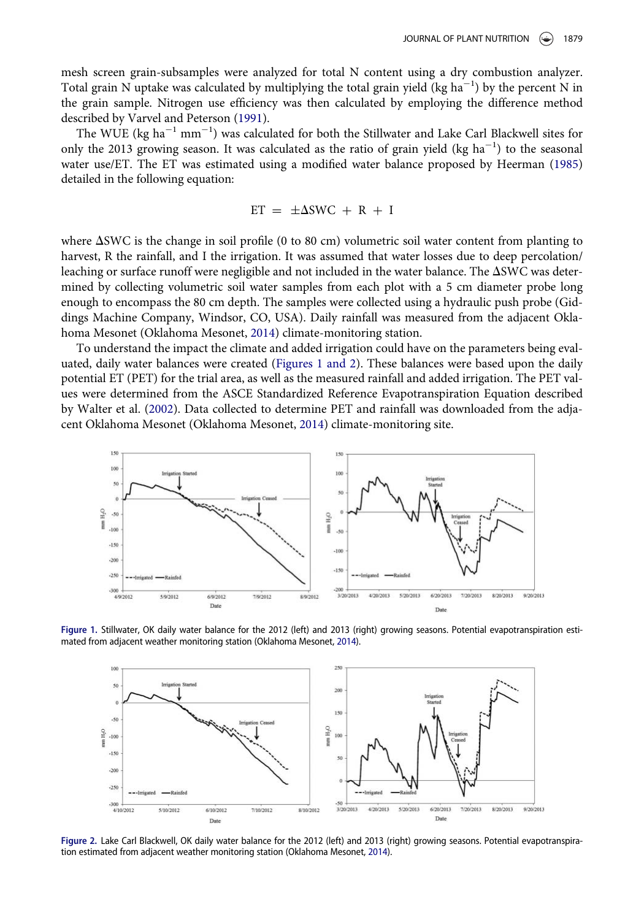mesh screen grain-subsamples were analyzed for total N content using a dry combustion analyzer. Total grain N uptake was calculated by multiplying the total grain yield (kg ha<sup>-1</sup>) by the percent N in the grain sample. Nitrogen use efficiency was then calculated by employing the difference method described by Varvel and Peterson [\(1991](#page-17-19)).

The WUE (kg ha $^{-1}$  mm $^{-1}$ ) was calculated for both the Stillwater and Lake Carl Blackwell sites for only the 2013 growing season. It was calculated as the ratio of grain yield (kg  $ha^{-1}$ ) to the seasonal water use/ET. The ET was estimated using a modified water balance proposed by Heerman ([1985\)](#page-16-22) detailed in the following equation:

$$
ET = \pm \Delta SWC + R + I
$$

where  $\Delta$ SWC is the change in soil profile (0 to 80 cm) volumetric soil water content from planting to harvest, R the rainfall, and I the irrigation. It was assumed that water losses due to deep percolation/ leaching or surface runoff were negligible and not included in the water balance. The  $\Delta$ SWC was determined by collecting volumetric soil water samples from each plot with a 5 cm diameter probe long enough to encompass the 80 cm depth. The samples were collected using a hydraulic push probe (Giddings Machine Company, Windsor, CO, USA). Daily rainfall was measured from the adjacent Oklahoma Mesonet (Oklahoma Mesonet, [2014](#page-17-18)) climate-monitoring station.

To understand the impact the climate and added irrigation could have on the parameters being evaluated, daily water balances were created (Figures 1 and 2). These balances were based upon the daily potential ET (PET) for the trial area, as well as the measured rainfall and added irrigation. The PET values were determined from the ASCE Standardized Reference Evapotranspiration Equation described by Walter et al. ([2002\)](#page-17-20). Data collected to determine PET and rainfall was downloaded from the adjacent Oklahoma Mesonet (Oklahoma Mesonet, [2014](#page-17-18)) climate-monitoring site.

<span id="page-6-0"></span>

<span id="page-6-1"></span>Figure 1. Stillwater, OK daily water balance for the 2012 (left) and 2013 (right) growing seasons. Potential evapotranspiration estimated from adjacent weather monitoring station (Oklahoma Mesonet, [2014\)](#page-17-18).



Figure 2. Lake Carl Blackwell, OK daily water balance for the 2012 (left) and 2013 (right) growing seasons. Potential evapotranspiration estimated from adjacent weather monitoring station (Oklahoma Mesonet, [2014](#page-17-18)).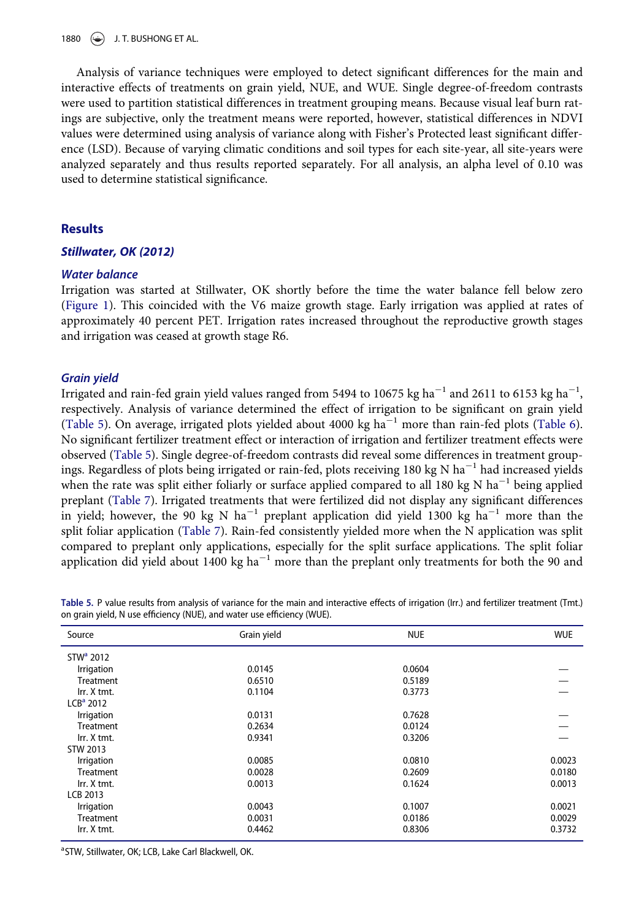1880  $\left(\bigstar\right)$  J. T. BUSHONG ET AL.

Analysis of variance techniques were employed to detect significant differences for the main and interactive effects of treatments on grain yield, NUE, and WUE. Single degree-of-freedom contrasts were used to partition statistical differences in treatment grouping means. Because visual leaf burn ratings are subjective, only the treatment means were reported, however, statistical differences in NDVI values were determined using analysis of variance along with Fisher's Protected least significant difference (LSD). Because of varying climatic conditions and soil types for each site-year, all site-years were analyzed separately and thus results reported separately. For all analysis, an alpha level of 0.10 was used to determine statistical significance.

# **Results**

#### Stillwater, OK (2012)

#### Water balance

Irrigation was started at Stillwater, OK shortly before the time the water balance fell below zero [\(Figure 1](#page-6-0)). This coincided with the V6 maize growth stage. Early irrigation was applied at rates of approximately 40 percent PET. Irrigation rates increased throughout the reproductive growth stages and irrigation was ceased at growth stage R6.

#### Grain yield

Irrigated and rain-fed grain yield values ranged from 5494 to 10675 kg ha $^{-1}$  and 2611 to 6153 kg ha $^{-1}\!,$ respectively. Analysis of variance determined the effect of irrigation to be significant on grain yield [\(Table 5](#page-7-0)). On average, irrigated plots yielded about 4000 kg ha<sup>-1</sup> more than rain-fed plots [\(Table 6](#page-8-0)). No significant fertilizer treatment effect or interaction of irrigation and fertilizer treatment effects were observed [\(Table 5](#page-7-0)). Single degree-of-freedom contrasts did reveal some differences in treatment groupings. Regardless of plots being irrigated or rain-fed, plots receiving 180 kg N ha<sup>-1</sup> had increased yields when the rate was split either foliarly or surface applied compared to all 180 kg N ha<sup>-1</sup> being applied preplant ([Table 7\)](#page-8-1). Irrigated treatments that were fertilized did not display any significant differences in yield; however, the 90 kg N ha<sup>-1</sup> preplant application did yield 1300 kg ha<sup>-1</sup> more than the split foliar application ([Table 7](#page-8-1)). Rain-fed consistently yielded more when the N application was split compared to preplant only applications, especially for the split surface applications. The split foliar application did yield about 1400 kg ha<sup> $-1$ </sup> more than the preplant only treatments for both the 90 and

<span id="page-7-0"></span>Table 5. P value results from analysis of variance for the main and interactive effects of irrigation (Irr.) and fertilizer treatment (Tmt.) on grain yield, N use efficiency (NUE), and water use efficiency (WUE).

| Source                | Grain yield | <b>NUE</b> | <b>WUE</b> |
|-----------------------|-------------|------------|------------|
| STW <sup>a</sup> 2012 |             |            |            |
| Irrigation            | 0.0145      | 0.0604     |            |
| <b>Treatment</b>      | 0.6510      | 0.5189     |            |
| Irr. X tmt.           | 0.1104      | 0.3773     |            |
| $LCBa$ 2012           |             |            |            |
| Irrigation            | 0.0131      | 0.7628     |            |
| <b>Treatment</b>      | 0.2634      | 0.0124     |            |
| Irr. X tmt.           | 0.9341      | 0.3206     |            |
| STW 2013              |             |            |            |
| Irrigation            | 0.0085      | 0.0810     | 0.0023     |
| <b>Treatment</b>      | 0.0028      | 0.2609     | 0.0180     |
| Irr. X tmt.           | 0.0013      | 0.1624     | 0.0013     |
| <b>LCB 2013</b>       |             |            |            |
| Irrigation            | 0.0043      | 0.1007     | 0.0021     |
| <b>Treatment</b>      | 0.0031      | 0.0186     | 0.0029     |
| Irr. X tmt.           | 0.4462      | 0.8306     | 0.3732     |

<span id="page-7-1"></span><sup>a</sup>STW, Stillwater, OK; LCB, Lake Carl Blackwell, OK.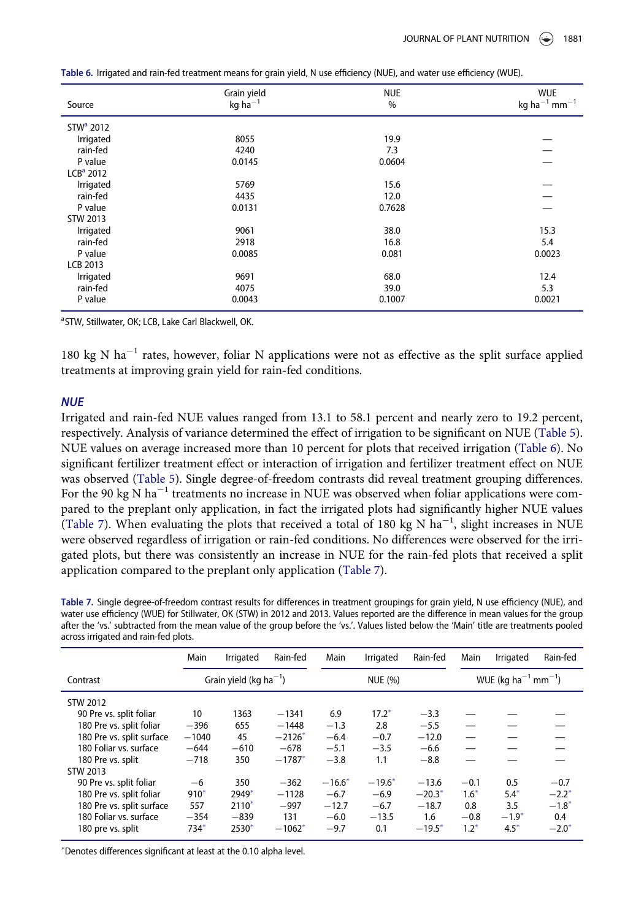| Source                | Grain yield<br>$kg$ ha $^{-1}$ | <b>NUE</b><br>$\%$ | <b>WUE</b><br>kg ha <sup>-1</sup> mm <sup>-1</sup> |
|-----------------------|--------------------------------|--------------------|----------------------------------------------------|
| STW <sup>a</sup> 2012 |                                |                    |                                                    |
| Irrigated             | 8055                           | 19.9               |                                                    |
| rain-fed              | 4240                           | 7.3                |                                                    |
| P value               | 0.0145                         | 0.0604             |                                                    |
| $LCBa$ 2012           |                                |                    |                                                    |
| Irrigated             | 5769                           | 15.6               |                                                    |
| rain-fed              | 4435                           | 12.0               |                                                    |
| P value               | 0.0131                         | 0.7628             |                                                    |
| STW 2013              |                                |                    |                                                    |
| Irrigated             | 9061                           | 38.0               | 15.3                                               |
| rain-fed              | 2918                           | 16.8               | 5.4                                                |
| P value               | 0.0085                         | 0.081              | 0.0023                                             |
| <b>LCB 2013</b>       |                                |                    |                                                    |
| Irrigated             | 9691                           | 68.0               | 12.4                                               |
| rain-fed              | 4075                           | 39.0               | 5.3                                                |
| P value               | 0.0043                         | 0.1007             | 0.0021                                             |

<span id="page-8-0"></span>Table 6. Irrigated and rain-fed treatment means for grain yield, N use efficiency (NUE), and water use efficiency (WUE).

<span id="page-8-2"></span><sup>a</sup>STW, Stillwater, OK; LCB, Lake Carl Blackwell, OK.

180 kg N ha<sup> $-1$ </sup> rates, however, foliar N applications were not as effective as the split surface applied treatments at improving grain yield for rain-fed conditions.

#### **NUE**

Irrigated and rain-fed NUE values ranged from 13.1 to 58.1 percent and nearly zero to 19.2 percent, respectively. Analysis of variance determined the effect of irrigation to be significant on NUE [\(Table 5\)](#page-7-0). NUE values on average increased more than 10 percent for plots that received irrigation ([Table 6](#page-8-0)). No significant fertilizer treatment effect or interaction of irrigation and fertilizer treatment effect on NUE was observed [\(Table 5\)](#page-7-0). Single degree-of-freedom contrasts did reveal treatment grouping differences. For the 90 kg N ha<sup> $-1$ </sup> treatments no increase in NUE was observed when foliar applications were compared to the preplant only application, in fact the irrigated plots had significantly higher NUE values [\(Table 7](#page-8-1)). When evaluating the plots that received a total of 180 kg N ha<sup>-1</sup>, slight increases in NUE were observed regardless of irrigation or rain-fed conditions. No differences were observed for the irrigated plots, but there was consistently an increase in NUE for the rain-fed plots that received a split application compared to the preplant only application [\(Table 7](#page-8-1)).

<span id="page-8-1"></span>Table 7. Single degree-of-freedom contrast results for differences in treatment groupings for grain yield, N use efficiency (NUE), and water use efficiency (WUE) for Stillwater, OK (STW) in 2012 and 2013. Values reported are the difference in mean values for the group after the 'vs.' subtracted from the mean value of the group before the 'vs.'. Values listed below the 'Main' title are treatments pooled across irrigated and rain-fed plots.

|                           | Main    | Irrigated                          | Rain-fed | Main     | Irrigated | Rain-fed | Main                     | Irrigated                                   | Rain-fed            |  |
|---------------------------|---------|------------------------------------|----------|----------|-----------|----------|--------------------------|---------------------------------------------|---------------------|--|
| Contrast                  |         | Grain yield (kg ha <sup>-1</sup> ) |          |          | NUE (%)   |          |                          | WUE (kg ha <sup>-1</sup> mm <sup>-1</sup> ) |                     |  |
| STW 2012                  |         |                                    |          |          |           |          |                          |                                             |                     |  |
| 90 Pre vs. split foliar   | 10      | 1363                               | $-1341$  | 6.9      | $17.2*$   | $-3.3$   |                          |                                             |                     |  |
| 180 Pre vs. split foliar  | $-396$  | 655                                | $-1448$  | $-1.3$   | 2.8       | $-5.5$   |                          |                                             |                     |  |
| 180 Pre vs. split surface | $-1040$ | 45                                 | $-2126*$ | $-6.4$   | $-0.7$    | $-12.0$  | $\overline{\phantom{m}}$ |                                             |                     |  |
| 180 Foliar vs. surface    | $-644$  | $-610$                             | $-678$   | $-5.1$   | $-3.5$    | $-6.6$   |                          |                                             |                     |  |
| 180 Pre vs. split         | $-718$  | 350                                | $-1787*$ | $-3.8$   | 1.1       | $-8.8$   |                          |                                             |                     |  |
| STW 2013                  |         |                                    |          |          |           |          |                          |                                             |                     |  |
| 90 Pre vs. split foliar   | $-6$    | 350                                | $-362$   | $-16.6*$ | $-19.6*$  | $-13.6$  | $-0.1$                   | 0.5                                         | $-0.7$              |  |
| 180 Pre vs. split foliar  | $910*$  | 2949*                              | $-1128$  | $-6.7$   | $-6.9$    | $-20.3*$ | $1.6*$                   | $5.4*$                                      | $-2.2$ <sup>*</sup> |  |
| 180 Pre vs. split surface | 557     | $2110*$                            | $-997$   | $-12.7$  | $-6.7$    | $-18.7$  | 0.8                      | 3.5                                         | $-1.8$ <sup>*</sup> |  |
| 180 Foliar vs. surface    | $-354$  | $-839$                             | 131      | $-6.0$   | $-13.5$   | 1.6      | $-0.8$                   | $-1.9*$                                     | 0.4                 |  |
| 180 pre vs. split         | $734*$  | 2530*                              | $-1062*$ | $-9.7$   | 0.1       | $-19.5*$ | $1.2*$                   | $4.5*$                                      | $-2.0*$             |  |

Denotes differences significant at least at the 0.10 alpha level.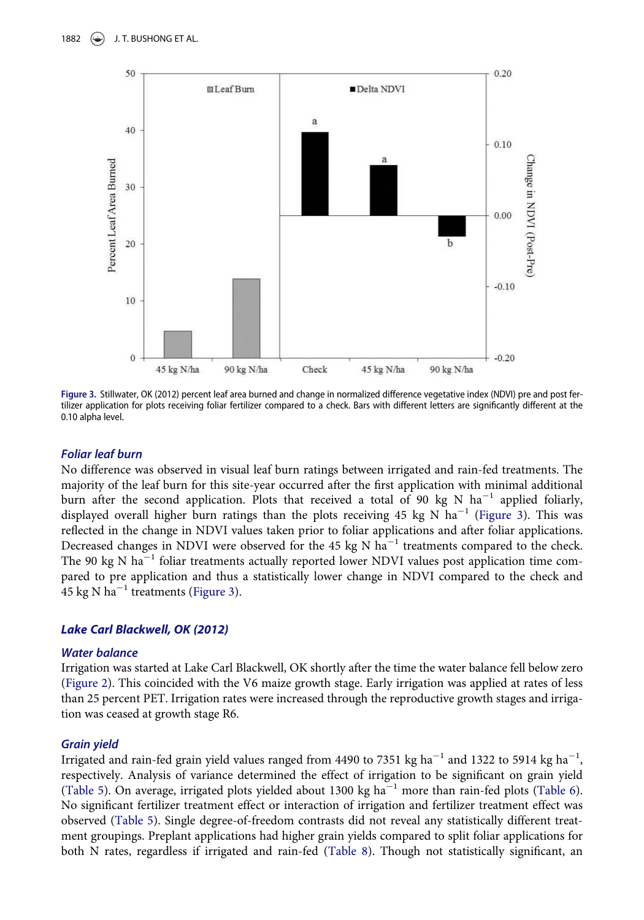<span id="page-9-0"></span>

Figure 3. Stillwater, OK (2012) percent leaf area burned and change in normalized difference vegetative index (NDVI) pre and post fertilizer application for plots receiving foliar fertilizer compared to a check. Bars with different letters are significantly different at the 0.10 alpha level.

#### Foliar leaf burn

No difference was observed in visual leaf burn ratings between irrigated and rain-fed treatments. The majority of the leaf burn for this site-year occurred after the first application with minimal additional burn after the second application. Plots that received a total of 90 kg N ha<sup>-1</sup> applied foliarly, displayed overall higher burn ratings than the plots receiving 45 kg N  $ha^{-1}$  ([Figure 3](#page-9-0)). This was reflected in the change in NDVI values taken prior to foliar applications and after foliar applications. Decreased changes in NDVI were observed for the 45 kg N  $\hat{h}^{-1}$  treatments compared to the check. The 90 kg N ha<sup>-1</sup> foliar treatments actually reported lower NDVI values post application time compared to pre application and thus a statistically lower change in NDVI compared to the check and 45 kg N ha<sup> $-1$ </sup> treatments ([Figure 3\)](#page-9-0).

#### Lake Carl Blackwell, OK (2012)

#### Water balance

Irrigation was started at Lake Carl Blackwell, OK shortly after the time the water balance fell below zero [\(Figure 2](#page-6-1)). This coincided with the V6 maize growth stage. Early irrigation was applied at rates of less than 25 percent PET. Irrigation rates were increased through the reproductive growth stages and irrigation was ceased at growth stage R6.

#### Grain yield

Irrigated and rain-fed grain yield values ranged from 4490 to 7351 kg ha $^{-1}$  and 1322 to 5914 kg ha $^{-1}$ , respectively. Analysis of variance determined the effect of irrigation to be significant on grain yield [\(Table 5](#page-7-0)). On average, irrigated plots yielded about 1300 kg  $ha^{-1}$  more than rain-fed plots [\(Table 6](#page-8-0)). No significant fertilizer treatment effect or interaction of irrigation and fertilizer treatment effect was observed ([Table 5](#page-7-0)). Single degree-of-freedom contrasts did not reveal any statistically different treatment groupings. Preplant applications had higher grain yields compared to split foliar applications for both N rates, regardless if irrigated and rain-fed ([Table 8\)](#page-10-0). Though not statistically significant, an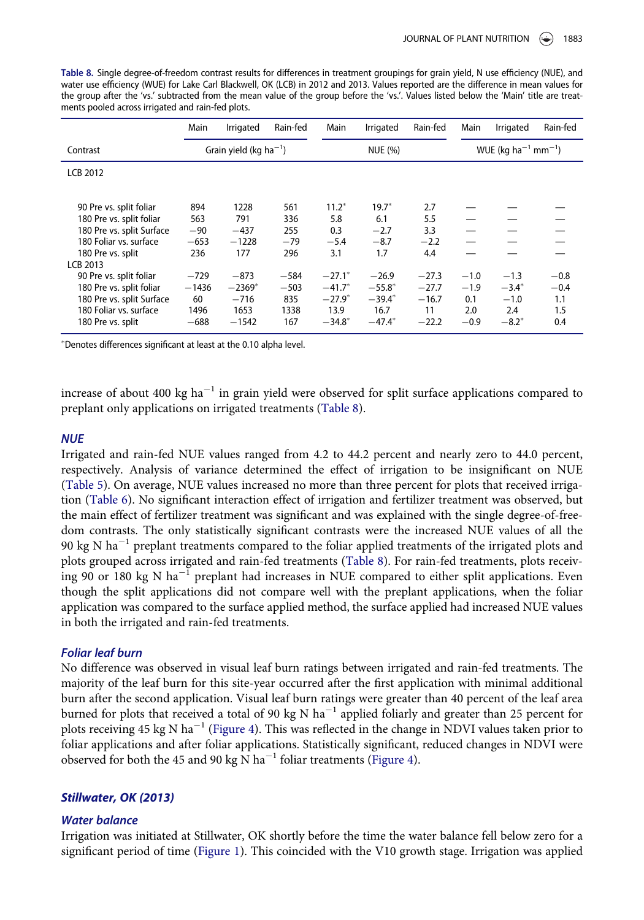<span id="page-10-0"></span>Table 8. Single degree-of-freedom contrast results for differences in treatment groupings for grain yield, N use efficiency (NUE), and water use efficiency (WUE) for Lake Carl Blackwell, OK (LCB) in 2012 and 2013. Values reported are the difference in mean values for the group after the 'vs.' subtracted from the mean value of the group before the 'vs.'. Values listed below the 'Main' title are treatments pooled across irrigated and rain-fed plots.

|                           | Main    | Irrigated                   | Rain-fed | Main                 | Irrigated | Rain-fed | Main   | Irrigated                                   | Rain-fed |  |
|---------------------------|---------|-----------------------------|----------|----------------------|-----------|----------|--------|---------------------------------------------|----------|--|
| Contrast                  |         | Grain yield (kg $ha^{-1}$ ) |          |                      | NUE (%)   |          |        | WUE (kg ha <sup>-1</sup> mm <sup>-1</sup> ) |          |  |
| <b>LCB 2012</b>           |         |                             |          |                      |           |          |        |                                             |          |  |
|                           |         |                             |          |                      |           |          |        |                                             |          |  |
| 90 Pre vs. split foliar   | 894     | 1228                        | 561      | $11.2*$              | $19.7*$   | 2.7      |        |                                             |          |  |
| 180 Pre vs. split foliar  | 563     | 791                         | 336      | 5.8                  | 6.1       | 5.5      |        |                                             |          |  |
| 180 Pre vs. split Surface | $-90$   | $-437$                      | 255      | 0.3                  | $-2.7$    | 3.3      |        |                                             |          |  |
| 180 Foliar vs. surface    | $-653$  | $-1228$                     | $-79$    | $-5.4$               | $-8.7$    | $-2.2$   |        |                                             |          |  |
| 180 Pre vs. split         | 236     | 177                         | 296      | 3.1                  | 1.7       | 4.4      |        |                                             |          |  |
| LCB 2013                  |         |                             |          |                      |           |          |        |                                             |          |  |
| 90 Pre vs. split foliar   | $-729$  | $-873$                      | $-584$   | $-27.1$ <sup>*</sup> | $-26.9$   | $-27.3$  | $-1.0$ | $-1.3$                                      | $-0.8$   |  |
| 180 Pre vs. split foliar  | $-1436$ | $-2369*$                    | $-503$   | $-41.7*$             | $-55.8*$  | $-27.7$  | $-1.9$ | $-3.4^*$                                    | $-0.4$   |  |
| 180 Pre vs. split Surface | 60      | $-716$                      | 835      | $-27.9*$             | $-39.4*$  | $-16.7$  | 0.1    | $-1.0$                                      | 1.1      |  |
| 180 Foliar vs. surface    | 1496    | 1653                        | 1338     | 13.9                 | 16.7      | 11       | 2.0    | 2.4                                         | 1.5      |  |
| 180 Pre vs. split         | $-688$  | $-1542$                     | 167      | $-34.8*$             | $-47.4*$  | $-22.2$  | $-0.9$ | $-8.2*$                                     | 0.4      |  |

Denotes differences significant at least at the 0.10 alpha level.

increase of about 400 kg ha<sup>-1</sup> in grain yield were observed for split surface applications compared to preplant only applications on irrigated treatments [\(Table 8\)](#page-10-0).

#### **NUE**

Irrigated and rain-fed NUE values ranged from 4.2 to 44.2 percent and nearly zero to 44.0 percent, respectively. Analysis of variance determined the effect of irrigation to be insignificant on NUE [\(Table 5\)](#page-7-0). On average, NUE values increased no more than three percent for plots that received irrigation [\(Table 6\)](#page-8-0). No significant interaction effect of irrigation and fertilizer treatment was observed, but the main effect of fertilizer treatment was significant and was explained with the single degree-of-freedom contrasts. The only statistically significant contrasts were the increased NUE values of all the 90 kg N ha<sup> $-1$ </sup> preplant treatments compared to the foliar applied treatments of the irrigated plots and plots grouped across irrigated and rain-fed treatments [\(Table 8](#page-10-0)). For rain-fed treatments, plots receiving 90 or 180 kg N ha<sup>-1</sup> preplant had increases in NUE compared to either split applications. Even though the split applications did not compare well with the preplant applications, when the foliar application was compared to the surface applied method, the surface applied had increased NUE values in both the irrigated and rain-fed treatments.

### Foliar leaf burn

No difference was observed in visual leaf burn ratings between irrigated and rain-fed treatments. The majority of the leaf burn for this site-year occurred after the first application with minimal additional burn after the second application. Visual leaf burn ratings were greater than 40 percent of the leaf area burned for plots that received a total of 90 kg N  $ha^{-1}$  applied foliarly and greater than 25 percent for plots receiving 45 kg N ha<sup>-1</sup> [\(Figure 4](#page-11-0)). This was reflected in the change in NDVI values taken prior to foliar applications and after foliar applications. Statistically significant, reduced changes in NDVI were observed for both the 45 and 90 kg  $\overline{N}$  ha<sup>-1</sup> foliar treatments ([Figure 4](#page-11-0)).

## Stillwater, OK (2013)

#### Water balance

Irrigation was initiated at Stillwater, OK shortly before the time the water balance fell below zero for a significant period of time ([Figure 1\)](#page-6-0). This coincided with the V10 growth stage. Irrigation was applied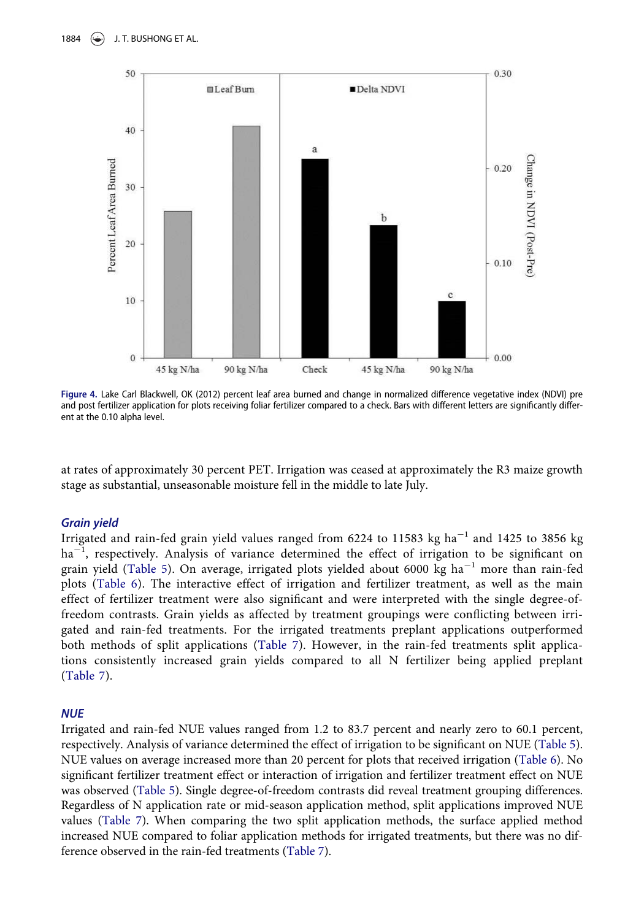<span id="page-11-0"></span>

Figure 4. Lake Carl Blackwell, OK (2012) percent leaf area burned and change in normalized difference vegetative index (NDVI) pre and post fertilizer application for plots receiving foliar fertilizer compared to a check. Bars with different letters are significantly different at the 0.10 alpha level.

at rates of approximately 30 percent PET. Irrigation was ceased at approximately the R3 maize growth stage as substantial, unseasonable moisture fell in the middle to late July.

#### Grain yield

Irrigated and rain-fed grain yield values ranged from 6224 to 11583 kg ha<sup>-1</sup> and 1425 to 3856 kg ha<sup>-1</sup>, respectively. Analysis of variance determined the effect of irrigation to be significant on grain yield ([Table 5](#page-7-0)). On average, irrigated plots yielded about 6000 kg ha<sup>-1</sup> more than rain-fed plots ([Table 6\)](#page-8-0). The interactive effect of irrigation and fertilizer treatment, as well as the main effect of fertilizer treatment were also significant and were interpreted with the single degree-offreedom contrasts. Grain yields as affected by treatment groupings were conflicting between irrigated and rain-fed treatments. For the irrigated treatments preplant applications outperformed both methods of split applications ([Table 7\)](#page-8-1). However, in the rain-fed treatments split applications consistently increased grain yields compared to all N fertilizer being applied preplant [\(Table 7](#page-8-1)).

#### **NUE**

Irrigated and rain-fed NUE values ranged from 1.2 to 83.7 percent and nearly zero to 60.1 percent, respectively. Analysis of variance determined the effect of irrigation to be significant on NUE [\(Table 5\)](#page-7-0). NUE values on average increased more than 20 percent for plots that received irrigation ([Table 6](#page-8-0)). No significant fertilizer treatment effect or interaction of irrigation and fertilizer treatment effect on NUE was observed [\(Table 5\)](#page-7-0). Single degree-of-freedom contrasts did reveal treatment grouping differences. Regardless of N application rate or mid-season application method, split applications improved NUE values ([Table 7](#page-8-1)). When comparing the two split application methods, the surface applied method increased NUE compared to foliar application methods for irrigated treatments, but there was no difference observed in the rain-fed treatments [\(Table 7\)](#page-8-1).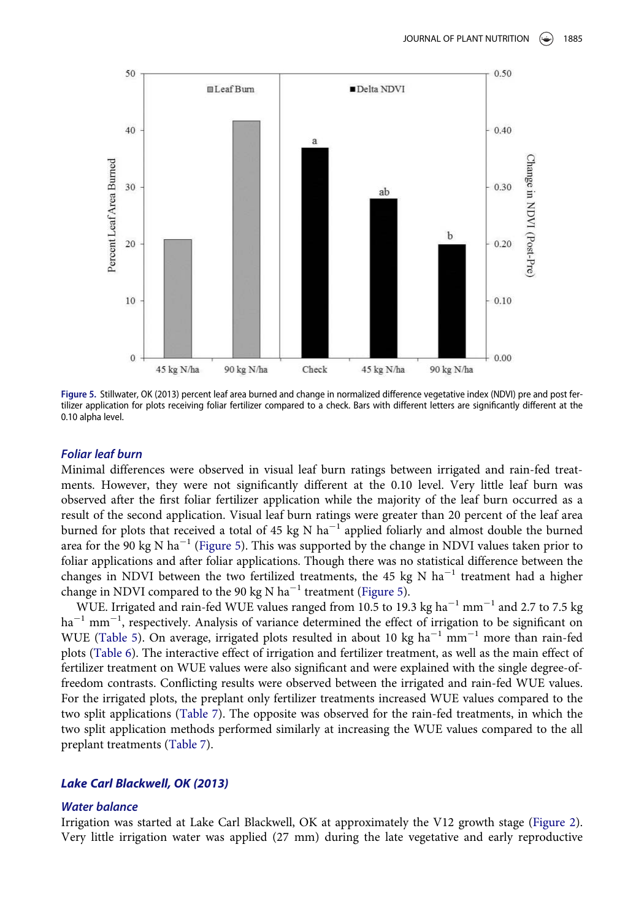<span id="page-12-0"></span>

Figure 5. Stillwater, OK (2013) percent leaf area burned and change in normalized difference vegetative index (NDVI) pre and post fertilizer application for plots receiving foliar fertilizer compared to a check. Bars with different letters are significantly different at the 0.10 alpha level.

#### Foliar leaf burn

Minimal differences were observed in visual leaf burn ratings between irrigated and rain-fed treatments. However, they were not significantly different at the 0.10 level. Very little leaf burn was observed after the first foliar fertilizer application while the majority of the leaf burn occurred as a result of the second application. Visual leaf burn ratings were greater than 20 percent of the leaf area burned for plots that received a total of 45 kg N ha<sup> $-1$ </sup> applied foliarly and almost double the burned area for the 90 kg N ha<sup>-1</sup> ([Figure 5\)](#page-12-0). This was supported by the change in NDVI values taken prior to foliar applications and after foliar applications. Though there was no statistical difference between the changes in NDVI between the two fertilized treatments, the 45 kg N  $ha^{-1}$  treatment had a higher change in NDVI compared to the 90 kg N ha<sup>-1</sup> treatment ([Figure 5](#page-12-0)).

WUE. Irrigated and rain-fed WUE values ranged from 10.5 to 19.3 kg ha $^{-1}$  mm $^{-1}$  and 2.7 to 7.5 kg ha<sup>-1</sup> mm<sup>-1</sup>, respectively. Analysis of variance determined the effect of irrigation to be significant on WUE [\(Table 5\)](#page-7-0). On average, irrigated plots resulted in about 10 kg ha<sup>-1</sup> mm<sup>-1</sup> more than rain-fed plots [\(Table 6\)](#page-8-0). The interactive effect of irrigation and fertilizer treatment, as well as the main effect of fertilizer treatment on WUE values were also significant and were explained with the single degree-offreedom contrasts. Conflicting results were observed between the irrigated and rain-fed WUE values. For the irrigated plots, the preplant only fertilizer treatments increased WUE values compared to the two split applications ([Table 7\)](#page-8-1). The opposite was observed for the rain-fed treatments, in which the two split application methods performed similarly at increasing the WUE values compared to the all preplant treatments [\(Table 7](#page-8-1)).

#### Lake Carl Blackwell, OK (2013)

#### Water balance

Irrigation was started at Lake Carl Blackwell, OK at approximately the V12 growth stage ([Figure 2](#page-6-1)). Very little irrigation water was applied (27 mm) during the late vegetative and early reproductive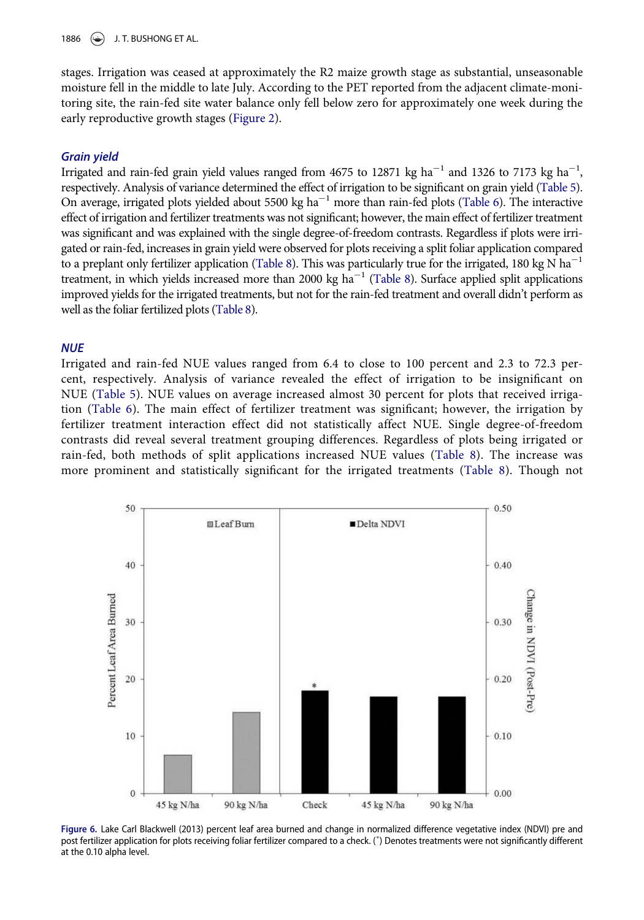1886  $\leftarrow$ ) J. T. BUSHONG ET AL.

stages. Irrigation was ceased at approximately the R2 maize growth stage as substantial, unseasonable moisture fell in the middle to late July. According to the PET reported from the adjacent climate-monitoring site, the rain-fed site water balance only fell below zero for approximately one week during the early reproductive growth stages [\(Figure 2\)](#page-6-1).

#### Grain yield

Irrigated and rain-fed grain yield values ranged from 4675 to 12871 kg ha<sup>-1</sup> and 1326 to 7173 kg ha<sup>-1</sup>, respectively. Analysis of variance determined the effect of irrigation to be significant on grain yield ([Table 5\)](#page-7-0). On average, irrigated plots yielded about 5500 kg  $ha^{-1}$  more than rain-fed plots ([Table 6](#page-8-0)). The interactive effect of irrigation and fertilizer treatments was not significant; however, the main effect of fertilizer treatment was significant and was explained with the single degree-of-freedom contrasts. Regardless if plots were irrigated or rain-fed, increases in grain yield were observed for plots receiving a split foliar application compared to a preplant only fertilizer application [\(Table 8](#page-10-0)). This was particularly true for the irrigated, 180 kg N ha<sup>-1</sup> treatment, in which yields increased more than 2000 kg ha<sup> $-1$ </sup> [\(Table 8](#page-10-0)). Surface applied split applications improved yields for the irrigated treatments, but not for the rain-fed treatment and overall didn't perform as well as the foliar fertilized plots ([Table 8](#page-10-0)).

#### **NUE**

Irrigated and rain-fed NUE values ranged from 6.4 to close to 100 percent and 2.3 to 72.3 percent, respectively. Analysis of variance revealed the effect of irrigation to be insignificant on NUE [\(Table 5](#page-7-0)). NUE values on average increased almost 30 percent for plots that received irrigation ([Table 6](#page-8-0)). The main effect of fertilizer treatment was significant; however, the irrigation by fertilizer treatment interaction effect did not statistically affect NUE. Single degree-of-freedom contrasts did reveal several treatment grouping differences. Regardless of plots being irrigated or rain-fed, both methods of split applications increased NUE values [\(Table 8\)](#page-10-0). The increase was more prominent and statistically significant for the irrigated treatments [\(Table 8](#page-10-0)). Though not

<span id="page-13-0"></span>

Figure 6. Lake Carl Blackwell (2013) percent leaf area burned and change in normalized difference vegetative index (NDVI) pre and post fertilizer application for plots receiving foliar fertilizer compared to a check. ( ) Denotes treatments were not significantly different at the 0.10 alpha level.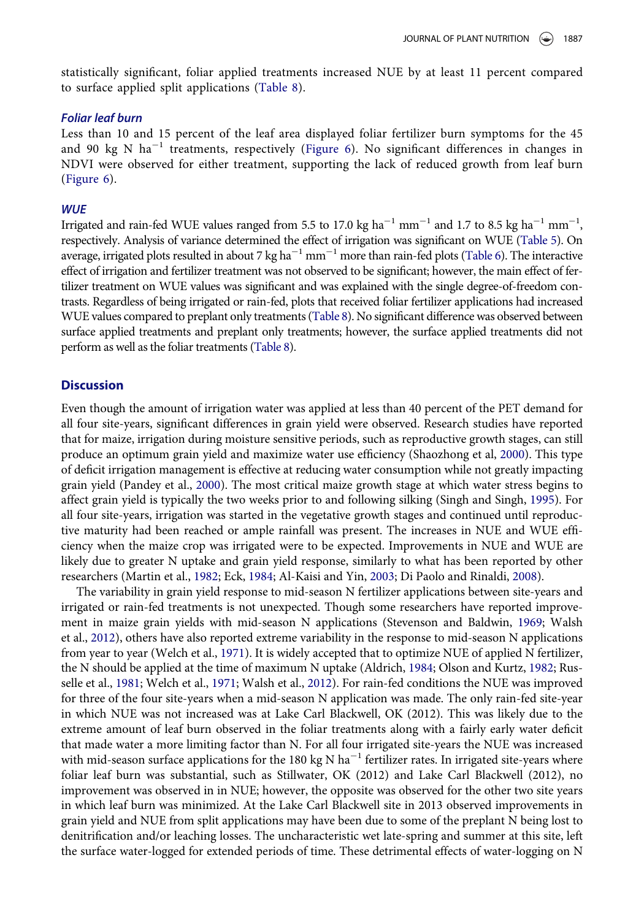statistically significant, foliar applied treatments increased NUE by at least 11 percent compared to surface applied split applications [\(Table 8](#page-10-0)).

#### Foliar leaf burn

Less than 10 and 15 percent of the leaf area displayed foliar fertilizer burn symptoms for the 45 and 90 kg N ha<sup>-1</sup> treatments, respectively ([Figure 6\)](#page-13-0). No significant differences in changes in NDVI were observed for either treatment, supporting the lack of reduced growth from leaf burn [\(Figure 6\)](#page-13-0).

#### **WUE**

Irrigated and rain-fed WUE values ranged from 5.5 to 17.0 kg ha<sup>-1</sup> mm<sup>-1</sup> and 1.7 to 8.5 kg ha<sup>-1</sup> mm<sup>-1</sup>, respectively. Analysis of variance determined the effect of irrigation was significant on WUE [\(Table 5\)](#page-7-0). On average, irrigated plots resulted in about 7 kg  $ha^{-1}$  mm<sup> $-1$ </sup> more than rain-fed plots [\(Table 6\)](#page-8-0). The interactive effect of irrigation and fertilizer treatment was not observed to be significant; however, the main effect of fertilizer treatment on WUE values was significant and was explained with the single degree-of-freedom contrasts. Regardless of being irrigated or rain-fed, plots that received foliar fertilizer applications had increased WUE values compared to preplant only treatments [\(Table 8\)](#page-10-0). No significant difference was observed between surface applied treatments and preplant only treatments; however, the surface applied treatments did not perform as well as the foliar treatments [\(Table 8\)](#page-10-0).

#### **Discussion**

Even though the amount of irrigation water was applied at less than 40 percent of the PET demand for all four site-years, significant differences in grain yield were observed. Research studies have reported that for maize, irrigation during moisture sensitive periods, such as reproductive growth stages, can still produce an optimum grain yield and maximize water use efficiency (Shaozhong et al, [2000\)](#page-17-21). This type of deficit irrigation management is effective at reducing water consumption while not greatly impacting grain yield (Pandey et al., [2000\)](#page-17-22). The most critical maize growth stage at which water stress begins to affect grain yield is typically the two weeks prior to and following silking (Singh and Singh, [1995\)](#page-17-23). For all four site-years, irrigation was started in the vegetative growth stages and continued until reproductive maturity had been reached or ample rainfall was present. The increases in NUE and WUE efficiency when the maize crop was irrigated were to be expected. Improvements in NUE and WUE are likely due to greater N uptake and grain yield response, similarly to what has been reported by other researchers (Martin et al., [1982;](#page-16-5) Eck, [1984;](#page-16-4) Al-Kaisi and Yin, [2003;](#page-16-7) Di Paolo and Rinaldi, [2008](#page-16-8)).

The variability in grain yield response to mid-season N fertilizer applications between site-years and irrigated or rain-fed treatments is not unexpected. Though some researchers have reported improvement in maize grain yields with mid-season N applications (Stevenson and Baldwin, [1969](#page-17-8); Walsh et al., [2012](#page-17-12)), others have also reported extreme variability in the response to mid-season N applications from year to year (Welch et al., [1971\)](#page-17-9). It is widely accepted that to optimize NUE of applied N fertilizer, the N should be applied at the time of maximum N uptake (Aldrich, [1984;](#page-16-11) Olson and Kurtz, [1982](#page-17-11); Russelle et al., [1981;](#page-17-3) Welch et al., [1971;](#page-17-9) Walsh et al., [2012\)](#page-17-12). For rain-fed conditions the NUE was improved for three of the four site-years when a mid-season N application was made. The only rain-fed site-year in which NUE was not increased was at Lake Carl Blackwell, OK (2012). This was likely due to the extreme amount of leaf burn observed in the foliar treatments along with a fairly early water deficit that made water a more limiting factor than N. For all four irrigated site-years the NUE was increased with mid-season surface applications for the 180 kg N  $ha^{-1}$  fertilizer rates. In irrigated site-years where foliar leaf burn was substantial, such as Stillwater, OK (2012) and Lake Carl Blackwell (2012), no improvement was observed in in NUE; however, the opposite was observed for the other two site years in which leaf burn was minimized. At the Lake Carl Blackwell site in 2013 observed improvements in grain yield and NUE from split applications may have been due to some of the preplant N being lost to denitrification and/or leaching losses. The uncharacteristic wet late-spring and summer at this site, left the surface water-logged for extended periods of time. These detrimental effects of water-logging on N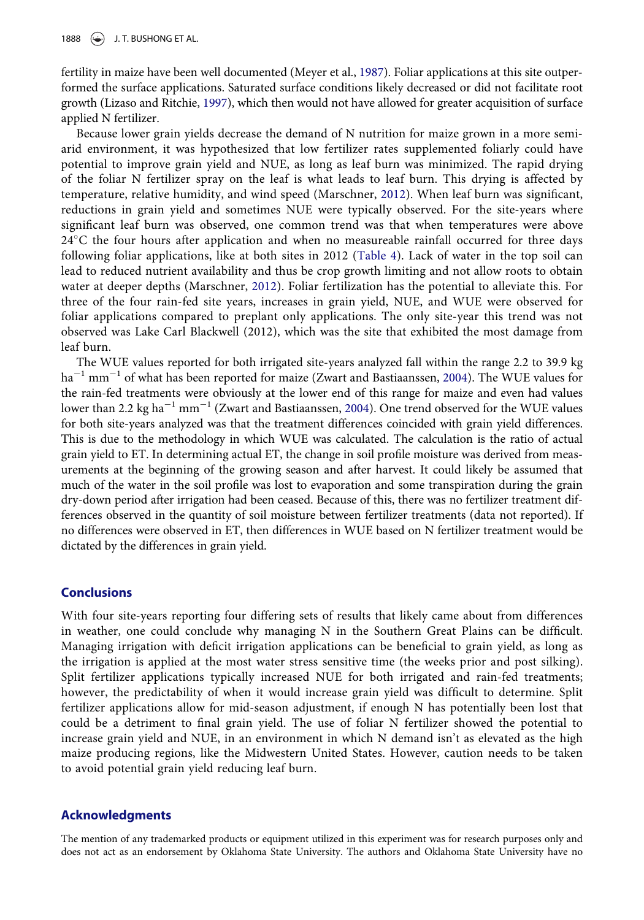fertility in maize have been well documented (Meyer et al., [1987](#page-16-23)). Foliar applications at this site outperformed the surface applications. Saturated surface conditions likely decreased or did not facilitate root growth (Lizaso and Ritchie, [1997\)](#page-16-24), which then would not have allowed for greater acquisition of surface applied N fertilizer.

Because lower grain yields decrease the demand of N nutrition for maize grown in a more semiarid environment, it was hypothesized that low fertilizer rates supplemented foliarly could have potential to improve grain yield and NUE, as long as leaf burn was minimized. The rapid drying of the foliar N fertilizer spray on the leaf is what leads to leaf burn. This drying is affected by temperature, relative humidity, and wind speed (Marschner, [2012\)](#page-16-13). When leaf burn was significant, reductions in grain yield and sometimes NUE were typically observed. For the site-years where significant leaf burn was observed, one common trend was that when temperatures were above 24C the four hours after application and when no measureable rainfall occurred for three days following foliar applications, like at both sites in 2012 ([Table 4\)](#page-5-1). Lack of water in the top soil can lead to reduced nutrient availability and thus be crop growth limiting and not allow roots to obtain water at deeper depths (Marschner, [2012\)](#page-16-13). Foliar fertilization has the potential to alleviate this. For three of the four rain-fed site years, increases in grain yield, NUE, and WUE were observed for foliar applications compared to preplant only applications. The only site-year this trend was not observed was Lake Carl Blackwell (2012), which was the site that exhibited the most damage from leaf burn.

The WUE values reported for both irrigated site-years analyzed fall within the range 2.2 to 39.9 kg  $ha<sup>-1</sup>$  mm<sup>-1</sup> of what has been reported for maize (Zwart and Bastiaanssen, [2004\)](#page-17-24). The WUE values for the rain-fed treatments were obviously at the lower end of this range for maize and even had values lower than 2.2 kg ha<sup>-1</sup> mm<sup>-1</sup> (Zwart and Bastiaanssen, [2004\)](#page-17-24). One trend observed for the WUE values for both site-years analyzed was that the treatment differences coincided with grain yield differences. This is due to the methodology in which WUE was calculated. The calculation is the ratio of actual grain yield to ET. In determining actual ET, the change in soil profile moisture was derived from measurements at the beginning of the growing season and after harvest. It could likely be assumed that much of the water in the soil profile was lost to evaporation and some transpiration during the grain dry-down period after irrigation had been ceased. Because of this, there was no fertilizer treatment differences observed in the quantity of soil moisture between fertilizer treatments (data not reported). If no differences were observed in ET, then differences in WUE based on N fertilizer treatment would be dictated by the differences in grain yield.

#### **Conclusions**

With four site-years reporting four differing sets of results that likely came about from differences in weather, one could conclude why managing N in the Southern Great Plains can be difficult. Managing irrigation with deficit irrigation applications can be beneficial to grain yield, as long as the irrigation is applied at the most water stress sensitive time (the weeks prior and post silking). Split fertilizer applications typically increased NUE for both irrigated and rain-fed treatments; however, the predictability of when it would increase grain yield was difficult to determine. Split fertilizer applications allow for mid-season adjustment, if enough N has potentially been lost that could be a detriment to final grain yield. The use of foliar N fertilizer showed the potential to increase grain yield and NUE, in an environment in which N demand isn't as elevated as the high maize producing regions, like the Midwestern United States. However, caution needs to be taken to avoid potential grain yield reducing leaf burn.

#### Acknowledgments

The mention of any trademarked products or equipment utilized in this experiment was for research purposes only and does not act as an endorsement by Oklahoma State University. The authors and Oklahoma State University have no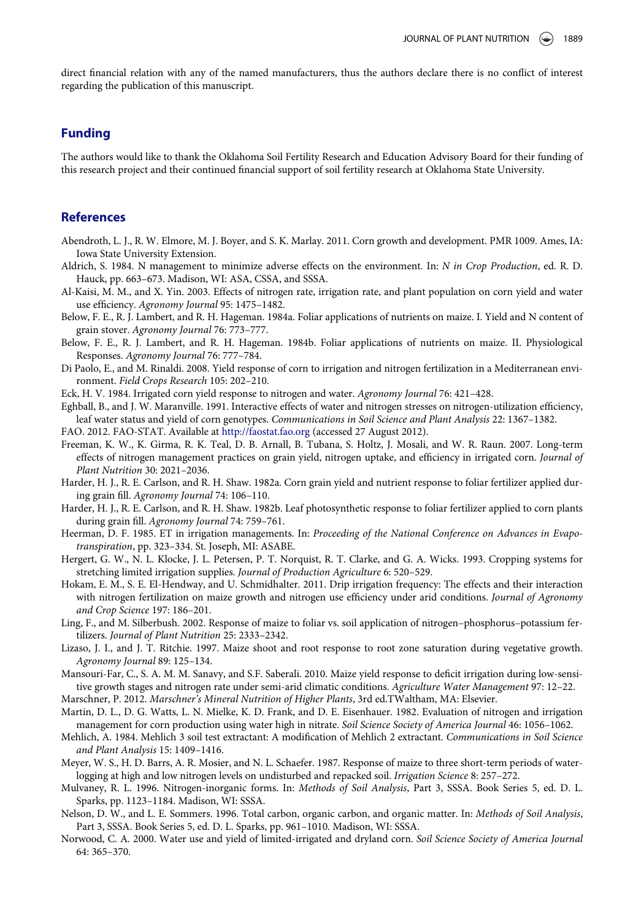direct financial relation with any of the named manufacturers, thus the authors declare there is no conflict of interest regarding the publication of this manuscript.

# Funding

The authors would like to thank the Oklahoma Soil Fertility Research and Education Advisory Board for their funding of this research project and their continued financial support of soil fertility research at Oklahoma State University.

#### References

- <span id="page-16-18"></span>Abendroth, L. J., R. W. Elmore, M. J. Boyer, and S. K. Marlay. 2011. Corn growth and development. PMR 1009. Ames, IA: Iowa State University Extension.
- <span id="page-16-11"></span>Aldrich, S. 1984. N management to minimize adverse effects on the environment. In: N in Crop Production, ed. R. D. Hauck, pp. 663–673. Madison, WI: ASA, CSSA, and SSSA.
- <span id="page-16-7"></span>Al-Kaisi, M. M., and X. Yin. 2003. Effects of nitrogen rate, irrigation rate, and plant population on corn yield and water use efficiency. Agronomy Journal 95: 1475–1482.
- <span id="page-16-15"></span>Below, F. E., R. J. Lambert, and R. H. Hageman. 1984a. Foliar applications of nutrients on maize. I. Yield and N content of grain stover. Agronomy Journal 76: 773–777.
- <span id="page-16-16"></span>Below, F. E., R. J. Lambert, and R. H. Hageman. 1984b. Foliar applications of nutrients on maize. II. Physiological Responses. Agronomy Journal 76: 777–784.
- <span id="page-16-8"></span>Di Paolo, E., and M. Rinaldi. 2008. Yield response of corn to irrigation and nitrogen fertilization in a Mediterranean environment. Field Crops Research 105: 202–210.
- <span id="page-16-4"></span>Eck, H. V. 1984. Irrigated corn yield response to nitrogen and water. Agronomy Journal 76: 421–428.

<span id="page-16-2"></span>Eghball, B., and J. W. Maranville. 1991. Interactive effects of water and nitrogen stresses on nitrogen-utilization efficiency, leaf water status and yield of corn genotypes. Communications in Soil Science and Plant Analysis 22: 1367–1382.

<span id="page-16-0"></span>FAO. 2012. FAO-STAT. Available at <http://faostat.fao.org> (accessed 27 August 2012).

- <span id="page-16-10"></span>Freeman, K. W., K. Girma, R. K. Teal, D. B. Arnall, B. Tubana, S. Holtz, J. Mosali, and W. R. Raun. 2007. Long-term effects of nitrogen management practices on grain yield, nitrogen uptake, and efficiency in irrigated corn. Journal of Plant Nutrition 30: 2021–2036.
- <span id="page-16-12"></span>Harder, H. J., R. E. Carlson, and R. H. Shaw. 1982a. Corn grain yield and nutrient response to foliar fertilizer applied during grain fill. Agronomy Journal 74: 106–110.
- <span id="page-16-14"></span>Harder, H. J., R. E. Carlson, and R. H. Shaw. 1982b. Leaf photosynthetic response to foliar fertilizer applied to corn plants during grain fill. Agronomy Journal 74: 759–761.
- <span id="page-16-22"></span>Heerman, D. F. 1985. ET in irrigation managements. In: Proceeding of the National Conference on Advances in Evapotranspiration, pp. 323–334. St. Joseph, MI: ASABE.
- <span id="page-16-3"></span>Hergert, G. W., N. L. Klocke, J. L. Petersen, P. T. Norquist, R. T. Clarke, and G. A. Wicks. 1993. Cropping systems for stretching limited irrigation supplies. Journal of Production Agriculture 6: 520–529.
- <span id="page-16-1"></span>Hokam, E. M., S. E. El-Hendway, and U. Schmidhalter. 2011. Drip irrigation frequency: The effects and their interaction with nitrogen fertilization on maize growth and nitrogen use efficiency under arid conditions. Journal of Agronomy and Crop Science 197: 186–201.
- <span id="page-16-17"></span>Ling, F., and M. Silberbush. 2002. Response of maize to foliar vs. soil application of nitrogen–phosphorus–potassium fertilizers. Journal of Plant Nutrition 25: 2333–2342.
- <span id="page-16-24"></span>Lizaso, J. I., and J. T. Ritchie. 1997. Maize shoot and root response to root zone saturation during vegetative growth. Agronomy Journal 89: 125–134.
- <span id="page-16-9"></span>Mansouri-Far, C., S. A. M. M. Sanavy, and S.F. Saberali. 2010. Maize yield response to deficit irrigation during low-sensitive growth stages and nitrogen rate under semi-arid climatic conditions. Agriculture Water Management 97: 12–22.

<span id="page-16-13"></span>Marschner, P. 2012. Marschner's Mineral Nutrition of Higher Plants, 3rd ed.TWaltham, MA: Elsevier.

- <span id="page-16-5"></span>Martin, D. L., D. G. Watts, L. N. Mielke, K. D. Frank, and D. E. Eisenhauer. 1982. Evaluation of nitrogen and irrigation management for corn production using water high in nitrate. Soil Science Society of America Journal 46: 1056-1062.
- <span id="page-16-20"></span>Mehlich, A. 1984. Mehlich 3 soil test extractant: A modification of Mehlich 2 extractant. Communications in Soil Science and Plant Analysis 15: 1409–1416.
- <span id="page-16-23"></span>Meyer, W. S., H. D. Barrs, A. R. Mosier, and N. L. Schaefer. 1987. Response of maize to three short-term periods of waterlogging at high and low nitrogen levels on undisturbed and repacked soil. Irrigation Science 8: 257–272.
- <span id="page-16-19"></span>Mulvaney, R. L. 1996. Nitrogen-inorganic forms. In: Methods of Soil Analysis, Part 3, SSSA. Book Series 5, ed. D. L. Sparks, pp. 1123–1184. Madison, WI: SSSA.
- <span id="page-16-21"></span>Nelson, D. W., and L. E. Sommers. 1996. Total carbon, organic carbon, and organic matter. In: Methods of Soil Analysis, Part 3, SSSA. Book Series 5, ed. D. L. Sparks, pp. 961–1010. Madison, WI: SSSA.
- <span id="page-16-6"></span>Norwood, C. A. 2000. Water use and yield of limited-irrigated and dryland corn. Soil Science Society of America Journal 64: 365–370.